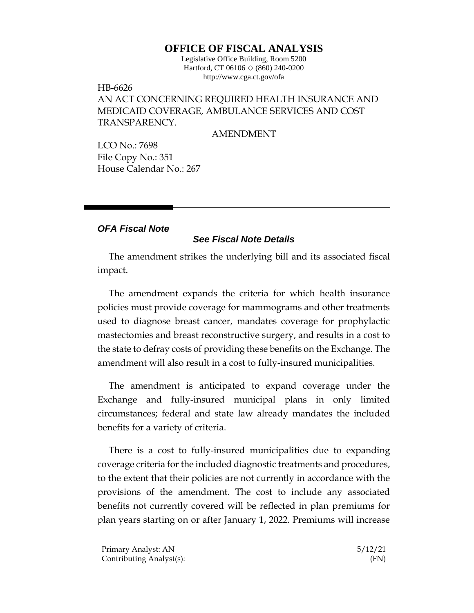## **OFFICE OF FISCAL ANALYSIS**

Legislative Office Building, Room 5200 Hartford, CT 06106  $\Diamond$  (860) 240-0200 http://www.cga.ct.gov/ofa

## HB-6626 AN ACT CONCERNING REQUIRED HEALTH INSURANCE AND MEDICAID COVERAGE, AMBULANCE SERVICES AND COST TRANSPARENCY.

AMENDMENT

LCO No.: 7698 File Copy No.: 351 House Calendar No.: 267

## *OFA Fiscal Note*

## *See Fiscal Note Details*

The amendment strikes the underlying bill and its associated fiscal impact.

The amendment expands the criteria for which health insurance policies must provide coverage for mammograms and other treatments used to diagnose breast cancer, mandates coverage for prophylactic mastectomies and breast reconstructive surgery, and results in a cost to the state to defray costs of providing these benefits on the Exchange. The amendment will also result in a cost to fully-insured municipalities.

The amendment is anticipated to expand coverage under the Exchange and fully-insured municipal plans in only limited circumstances; federal and state law already mandates the included benefits for a variety of criteria.

There is a cost to fully-insured municipalities due to expanding coverage criteria for the included diagnostic treatments and procedures, to the extent that their policies are not currently in accordance with the provisions of the amendment. The cost to include any associated benefits not currently covered will be reflected in plan premiums for plan years starting on or after January 1, 2022. Premiums will increase

Primary Analyst: AN 5/12/21 Contributing Analyst(s): (FN)